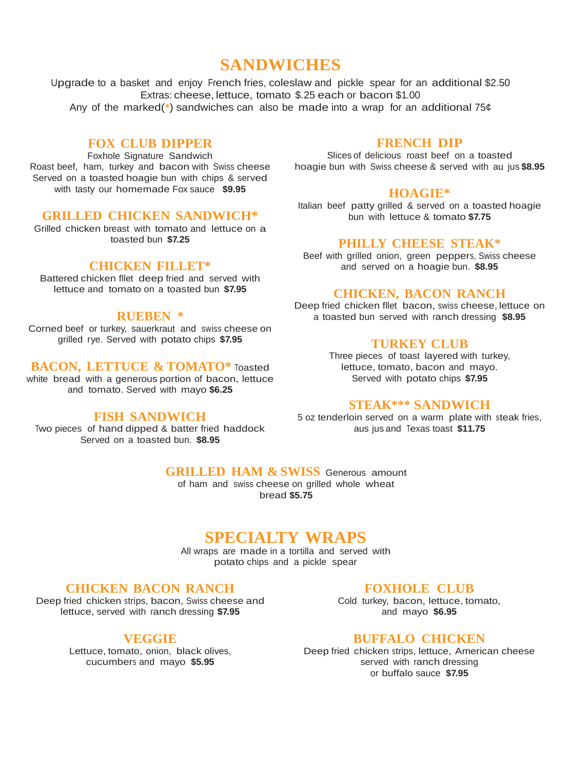# **SANDWICHES**

Upgrade to a basket and enjoy French fries, coleslaw and pickle spear for an additional \$2.50 Extras: cheese, lettuce, tomato \$.25 each or bacon \$1.00 Any of the marked(**\***) sandwiches can also be made into a wrap for an additional 75¢

# **FOX CLUB DIPPER**

Foxhole Signature Sandwich

Roast beef, ham, turkey and bacon with Swiss cheese Served on a toasted hoagie bun with chips & served with tasty our homemade Fox sauce **\$9.95**

# **GRILLED CHICKEN SANDWICH\***

Grilled chicken breast with tomato and lettuce on a toasted bun **\$7.25**

## **CHICKEN FILLET\***

Battered chicken fllet deep fried and served with lettuce and tomato on a toasted bun **\$7.95**

#### **RUEBEN \***

Corned beef or turkey, sauerkraut and swiss cheese on grilled rye. Served with potato chips **\$7.95**

## **BACON, LETTUCE & TOMATO\*** Toasted

white bread with a generous portion of bacon, lettuce and tomato. Served with mayo **\$6.25**

## **FISH SANDWICH**

Two pieces of hand dipped & batter fried haddock Served on a toasted bun. **\$8.95**

# **FRENCH DIP**

Slices of delicious roast beef on a toasted hoagie bun with Swiss cheese & served with au jus **\$8.95**

#### **HOAGIE\***

Italian beef patty grilled & served on a toasted hoagie bun with lettuce & tomato **\$7.75**

#### **PHILLY CHEESE STEAK\***

Beef with grilled onion, green peppers, Swiss cheese and served on a hoagie bun. **\$8.95**

## **CHICKEN, BACON RANCH**

Deep fried chicken fllet bacon, swiss cheese, lettuce on a toasted bun served with ranch dressing **\$8.95**

## **TURKEY CLUB**

Three pieces of toast layered with turkey, lettuce, tomato, bacon and mayo. Served with potato chips **\$7.95**

#### **STEAK\*\*\* SANDWICH**

5 oz tenderloin served on a warm plate with steak fries, aus jus and Texas toast **\$11.75**

# **GRILLED HAM & SWISS** Generous amount

of ham and swiss cheese on grilled whole wheat bread **\$5.75**

# **SPECIALTY WRAPS**

All wraps are made in a tortilla and served with potato chips and a pickle spear

# **CHICKEN BACON RANCH**

Deep fried chicken strips, bacon, Swiss cheese and lettuce, served with ranch dressing **\$7.95**

#### **VEGGIE**

Lettuce, tomato, onion, black olives, cucumbers and mayo **\$5.95**

#### **FOXHOLE CLUB**

Cold turkey, bacon, lettuce, tomato, and mayo **\$6.95**

#### **BUFFALO CHICKEN**

Deep fried chicken strips, lettuce, American cheese served with ranch dressing or buffalo sauce **\$7.95**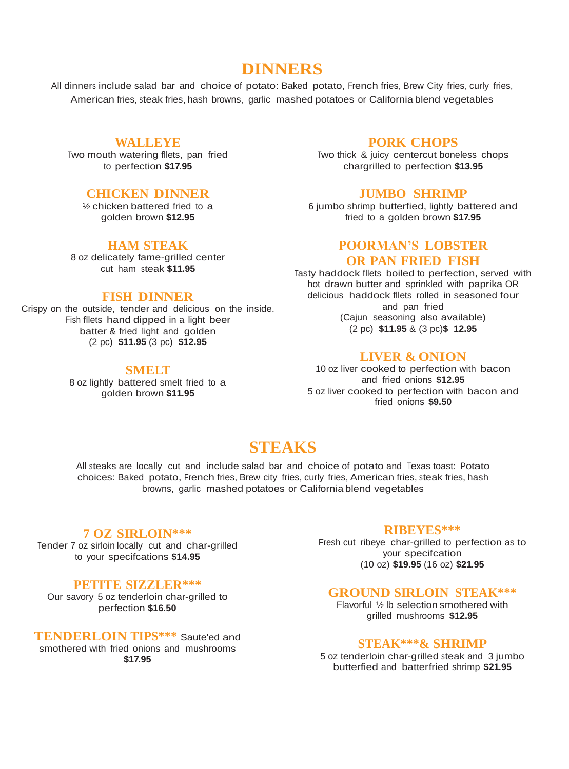# **DINNERS**

All dinners include salad bar and choice of potato: Baked potato, French fries, Brew City fries, curly fries, American fries, steak fries, hash browns, garlic mashed potatoes or California blend vegetables

# **WALLEYE**

Two mouth watering fllets, pan fried to perfection **\$17.95**

## **CHICKEN DINNER**

½ chicken battered fried to a golden brown **\$12.95**

#### **HAM STEAK**

8 oz delicately fame-grilled center cut ham steak **\$11.95**

# **FISH DINNER**

Crispy on the outside, tender and delicious on the inside. Fish fllets hand dipped in a light beer batter & fried light and golden (2 pc) **\$11.95** (3 pc) **\$12.95**

#### **SMELT**

8 oz lightly battered smelt fried to a golden brown **\$11.95**

## **PORK CHOPS**

Two thick & juicy centercut boneless chops chargrilled to perfection **\$13.95**

#### **JUMBO SHRIMP**

6 jumbo shrimp butterfied, lightly battered and fried to a golden brown **\$17.95**

#### **POORMAN'S LOBSTER**

#### **OR PAN FRIED FISH**

Tasty haddock fllets boiled to perfection, served with hot drawn butter and sprinkled with paprika OR delicious haddock fllets rolled in seasoned four and pan fried (Cajun seasoning also available) (2 pc) **\$11.95** & (3 pc)**\$ 12.95**

#### **LIVER & ONION**

10 oz liver cooked to perfection with bacon and fried onions **\$12.95** 5 oz liver cooked to perfection with bacon and fried onions **\$9.50**

# **STEAKS**

All steaks are locally cut and include salad bar and choice of potato and Texas toast: Potato choices: Baked potato, French fries, Brew city fries, curly fries, American fries, steak fries, hash browns, garlic mashed potatoes or California blend vegetables

#### **7 OZ SIRLOIN\*\*\***

Tender 7 oz sirloin locally cut and char-grilled to your specifcations **\$14.95**

#### **PETITE SIZZLER\*\*\***

Our savory 5 oz tenderloin char-grilled to perfection **\$16.50**

**TENDERLOIN TIPS\*\*\*** Saute'ed and smothered with fried onions and mushrooms

**\$17.95**

#### **RIBEYES\*\*\***

Fresh cut ribeye char-grilled to perfection as to your specifcation (10 oz) **\$19.95** (16 oz) **\$21.95**

#### **GROUND SIRLOIN STEAK\*\*\***

Flavorful ½ lb selection smothered with grilled mushrooms **\$12.95**

#### **STEAK\*\*\*& SHRIMP**

5 oz tenderloin char-grilled steak and 3 jumbo butterfied and batterfried shrimp **\$21.95**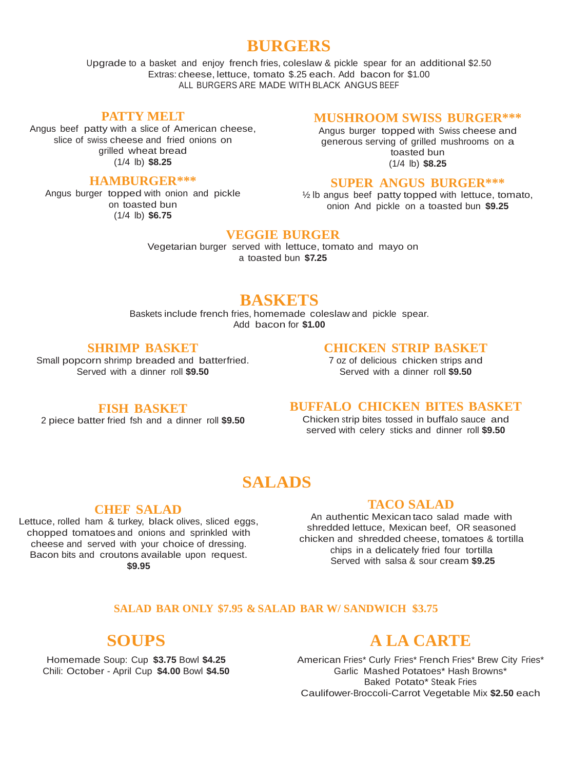# **BURGERS**

Upgrade to a basket and enjoy french fries, coleslaw & pickle spear for an additional \$2.50 Extras: cheese, lettuce, tomato \$.25 each. Add bacon for \$1.00 ALL BURGERS ARE MADE WITH BLACK ANGUS BEEF

#### **PATTY MELT**

Angus beef patty with a slice of American cheese, slice of swiss cheese and fried onions on grilled wheat bread (1/4 lb) **\$8.25**

#### **HAMBURGER\*\*\***

Angus burger topped with onion and pickle on toasted bun (1/4 lb) **\$6.75**

#### **MUSHROOM SWISS BURGER\*\*\***

Angus burger topped with Swiss cheese and generous serving of grilled mushrooms on a toasted bun (1/4 lb) **\$8.25**

#### **SUPER ANGUS BURGER\*\*\***

½ lb angus beef patty topped with lettuce, tomato, onion And pickle on a toasted bun **\$9.25**

## **VEGGIE BURGER**

Vegetarian burger served with lettuce, tomato and mayo on a toasted bun **\$7.25**

# **BASKETS**

Baskets include french fries, homemade coleslaw and pickle spear. Add bacon for **\$1.00**

## **SHRIMP BASKET**

Small popcorn shrimp breaded and batterfried. Served with a dinner roll **\$9.50**

#### **CHICKEN STRIP BASKET**

7 oz of delicious chicken strips and Served with a dinner roll **\$9.50**

### **FISH BASKET**

2 piece batter fried fsh and a dinner roll **\$9.50**

#### **BUFFALO CHICKEN BITES BASKET**

Chicken strip bites tossed in buffalo sauce and served with celery sticks and dinner roll **\$9.50**

# **SALADS**

### **CHEF SALAD**

Lettuce, rolled ham & turkey, black olives, sliced eggs, chopped tomatoes and onions and sprinkled with cheese and served with your choice of dressing. Bacon bits and croutons available upon request. **\$9.95**

#### **TACO SALAD**

An authentic Mexican taco salad made with shredded lettuce, Mexican beef, OR seasoned chicken and shredded cheese, tomatoes & tortilla chips in a delicately fried four tortilla Served with salsa & sour cream **\$9.25**

#### **SALAD BAR ONLY \$7.95 & SALAD BAR W/ SANDWICH \$3.75**

# **SOUPS**

Homemade Soup: Cup **\$3.75** Bowl **\$4.25** Chili: October - April Cup **\$4.00** Bowl **\$4.50**

# **A LA CARTE**

American Fries\* Curly Fries\* French Fries\* Brew City Fries\* Garlic Mashed Potatoes\* Hash Browns\* Baked Potato\* Steak Fries Caulifower-Broccoli-Carrot Vegetable Mix **\$2.50** each